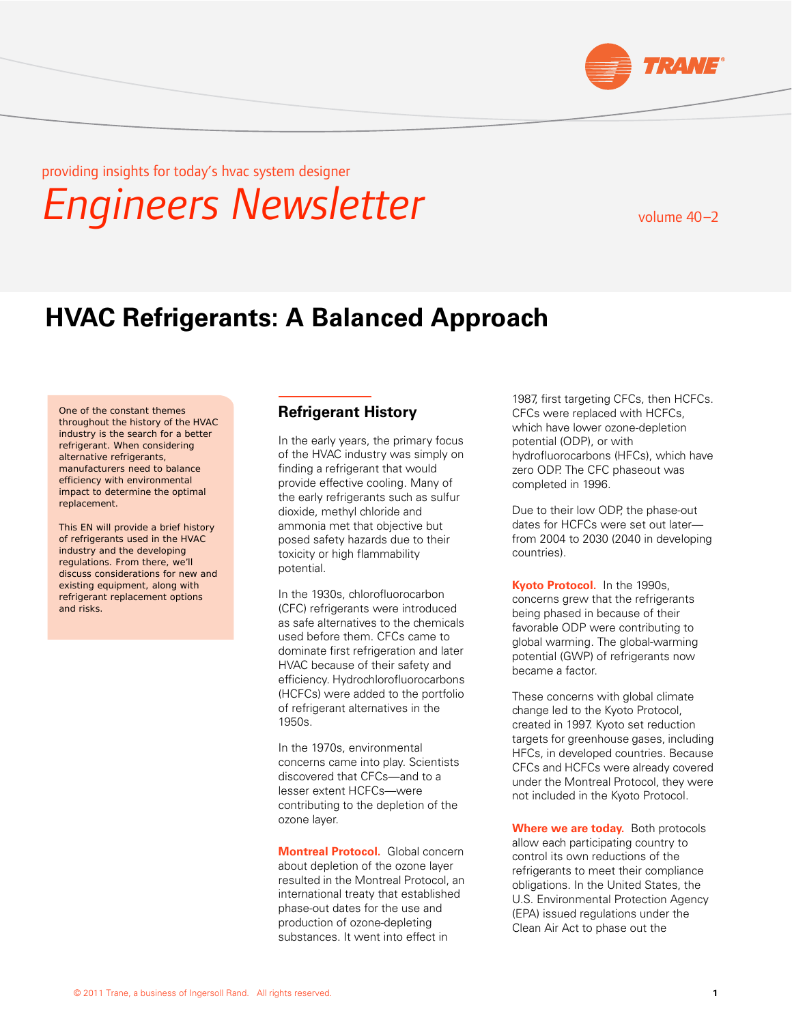

providing insights for today's hvac system designer

*Engineers Newsletter*

volume  $40 - 2$ 

# **HVAC Refrigerants: A Balanced Approach**

One of the constant themes throughout the history of the HVAC industry is the search for a better refrigerant. When considering alternative refrigerants, manufacturers need to balance efficiency with environmental impact to determine the optimal replacement.

This EN will provide a brief history of refrigerants used in the HVAC industry and the developing regulations. From there, we'll discuss considerations for new and existing equipment, along with refrigerant replacement options and risks.

## **Refrigerant History**

In the early years, the primary focus of the HVAC industry was simply on finding a refrigerant that would provide effective cooling. Many of the early refrigerants such as sulfur dioxide, methyl chloride and ammonia met that objective but posed safety hazards due to their toxicity or high flammability potential.

In the 1930s, chlorofluorocarbon (CFC) refrigerants were introduced as safe alternatives to the chemicals used before them. CFCs came to dominate first refrigeration and later HVAC because of their safety and efficiency. Hydrochlorofluorocarbons (HCFCs) were added to the portfolio of refrigerant alternatives in the 1950s.

In the 1970s, environmental concerns came into play. Scientists discovered that CFCs—and to a lesser extent HCFCs—were contributing to the depletion of the ozone layer.

**Montreal Protocol.** Global concern about depletion of the ozone layer resulted in the Montreal Protocol, an international treaty that established phase-out dates for the use and production of ozone-depleting substances. It went into effect in

1987, first targeting CFCs, then HCFCs. CFCs were replaced with HCFCs, which have lower ozone-depletion potential (ODP), or with hydrofluorocarbons (HFCs), which have zero ODP. The CFC phaseout was completed in 1996.

Due to their low ODP, the phase-out dates for HCFCs were set out later from 2004 to 2030 (2040 in developing countries).

**Kyoto Protocol.** In the 1990s, concerns grew that the refrigerants being phased in because of their favorable ODP were contributing to global warming. The global-warming potential (GWP) of refrigerants now became a factor.

These concerns with global climate change led to the Kyoto Protocol, created in 1997. Kyoto set reduction targets for greenhouse gases, including HFCs, in developed countries. Because CFCs and HCFCs were already covered under the Montreal Protocol, they were not included in the Kyoto Protocol.

**Where we are today.** Both protocols allow each participating country to control its own reductions of the refrigerants to meet their compliance obligations. In the United States, the U.S. Environmental Protection Agency (EPA) issued regulations under the Clean Air Act to phase out the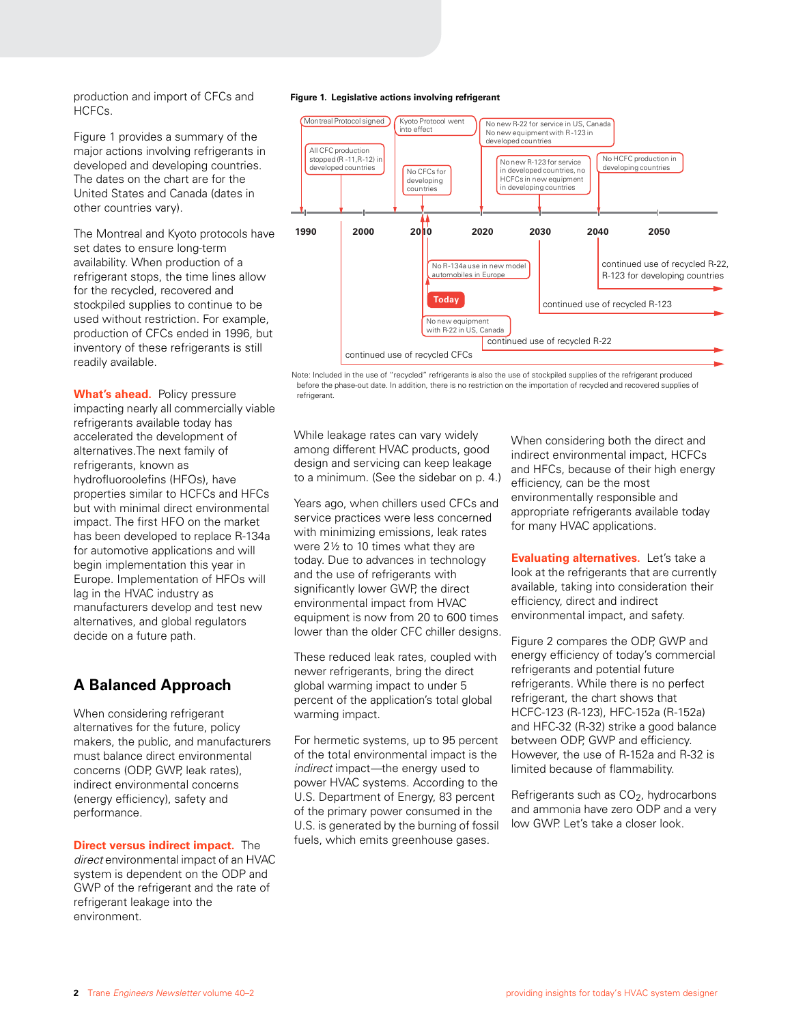production and import of CFCs and HCFCs.

Figure 1 provides a summary of the major actions involving refrigerants in developed and developing countries. The dates on the chart are for the United States and Canada (dates in other countries vary).

The Montreal and Kyoto protocols have set dates to ensure long-term availability. When production of a refrigerant stops, the time lines allow for the recycled, recovered and stockpiled supplies to continue to be used without restriction. For example, production of CFCs ended in 1996, but inventory of these refrigerants is still readily available.

**What's ahead.** Policy pressure impacting nearly all commercially viable refrigerants available today has accelerated the development of alternatives.The next family of refrigerants, known as hydrofluoroolefins (HFOs), have properties similar to HCFCs and HFCs but with minimal direct environmental impact. The first HFO on the market has been developed to replace R-134a for automotive applications and will begin implementation this year in Europe. Implementation of HFOs will lag in the HVAC industry as manufacturers develop and test new alternatives, and global regulators decide on a future path.

## **A Balanced Approach**

When considering refrigerant alternatives for the future, policy makers, the public, and manufacturers must balance direct environmental concerns (ODP, GWP, leak rates), indirect environmental concerns (energy efficiency), safety and performance.

**Direct versus indirect impact.** The *direct* environmental impact of an HVAC system is dependent on the ODP and GWP of the refrigerant and the rate of refrigerant leakage into the environment.

#### **Figure 1. Legislative actions involving refrigerant**



Note: Included in the use of "recycled" refrigerants is also the use of stockpiled supplies of the refrigerant produced before the phase-out date. In addition, there is no restriction on the importation of recycled and recovered supplies of refrigerant

While leakage rates can vary widely among different HVAC products, good design and servicing can keep leakage to a minimum. (See the sidebar on p. 4.)

Years ago, when chillers used CFCs and service practices were less concerned with minimizing emissions, leak rates were 2½ to 10 times what they are today. Due to advances in technology and the use of refrigerants with significantly lower GWP, the direct environmental impact from HVAC equipment is now from 20 to 600 times lower than the older CFC chiller designs.

These reduced leak rates, coupled with newer refrigerants, bring the direct global warming impact to under 5 percent of the application's total global warming impact.

For hermetic systems, up to 95 percent of the total environmental impact is the *indirect* impact*—*the energy used to power HVAC systems. According to the U.S. Department of Energy, 83 percent of the primary power consumed in the U.S. is generated by the burning of fossil fuels, which emits greenhouse gases.

When considering both the direct and indirect environmental impact, HCFCs and HFCs, because of their high energy efficiency, can be the most environmentally responsible and appropriate refrigerants available today for many HVAC applications.

**Evaluating alternatives.** Let's take a look at the refrigerants that are currently available, taking into consideration their efficiency, direct and indirect environmental impact, and safety.

Figure 2 compares the ODP, GWP and energy efficiency of today's commercial refrigerants and potential future refrigerants. While there is no perfect refrigerant, the chart shows that HCFC-123 (R-123), HFC-152a (R-152a) and HFC-32 (R-32) strike a good balance between ODP, GWP and efficiency. However, the use of R-152a and R-32 is limited because of flammability.

Refrigerants such as  $CO<sub>2</sub>$ , hydrocarbons and ammonia have zero ODP and a very low GWP. Let's take a closer look.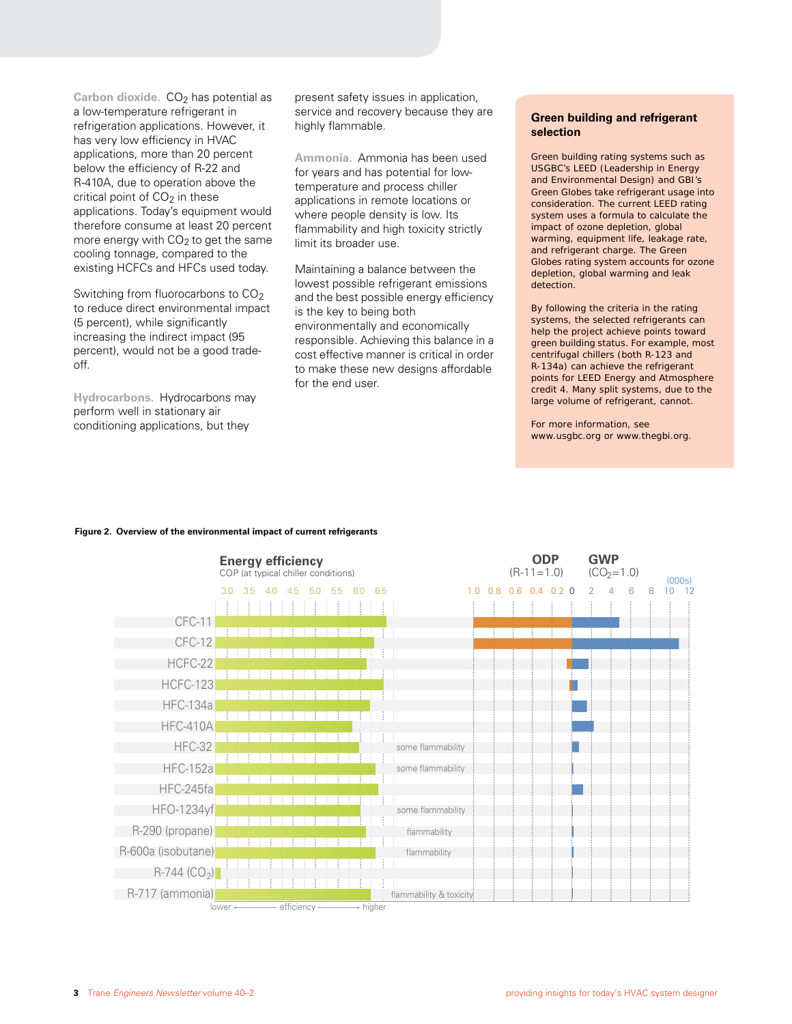Carbon dioxide. CO<sub>2</sub> has potential as a low-temperature refrigerant in refrigeration applications. However, it has very low efficiency in HVAC applications, more than 20 percent below the efficiency of R-22 and R-410A, due to operation above the critical point of  $CO<sub>2</sub>$  in these applications. Today's equipment would therefore consume at least 20 percent more energy with  $CO<sub>2</sub>$  to get the same cooling tonnage, compared to the existing HCFCs and HFCs used today.

Switching from fluorocarbons to CO<sub>2</sub> to reduce direct environmental impact (5 percent), while significantly increasing the indirect impact (95 percent), would not be a good tradeoff.

**Hydrocarbons.** Hydrocarbons may perform well in stationary air conditioning applications, but they

present safety issues in application, service and recovery because they are highly flammable.

**Ammonia.** Ammonia has been used for years and has potential for lowtemperature and process chiller applications in remote locations or where people density is low. Its flammability and high toxicity strictly limit its broader use.

Maintaining a balance between the lowest possible refrigerant emissions and the best possible energy efficiency is the key to being both environmentally and economically responsible. Achieving this balance in a cost effective manner is critical in order to make these new designs affordable for the end user.

#### **Green building and refrigerant selection**

Green building rating systems such as USGBC's LEED (Leadership in Energy and Environmental Design) and GBI's Green Globes take refrigerant usage into consideration. The current LEED rating system uses a formula to calculate the impact of ozone depletion, global warming, equipment life, leakage rate, and refrigerant charge. The Green Globes rating system accounts for ozone depletion, global warming and leak detection.

By following the criteria in the rating systems, the selected refrigerants can help the project achieve points toward green building status. For example, most centrifugal chillers (both R-123 and R-134a) can achieve the refrigerant points for LEED Energy and Atmosphere credit 4. Many split systems, due to the large volume of refrigerant, cannot.

For more information, see www.usgbc.org or www.thegbi.org.



#### **Figure 2. Overview of the environmental impact of current refrigerants**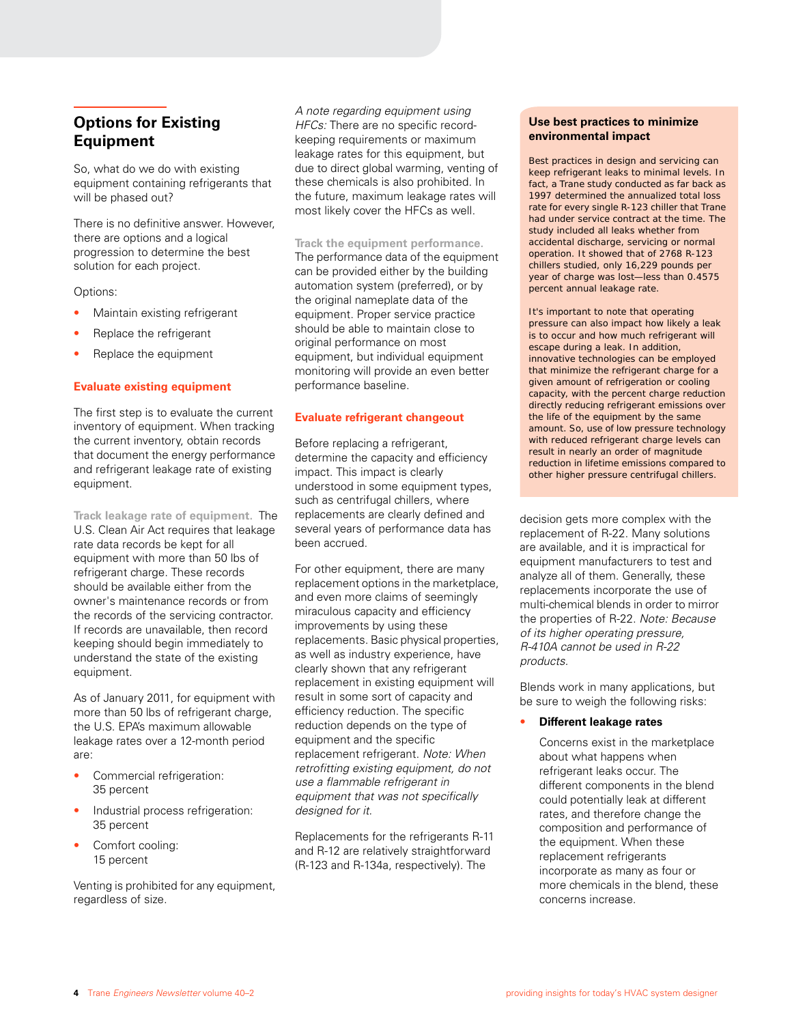# **Options for Existing Equipment**

So, what do we do with existing equipment containing refrigerants that will be phased out?

There is no definitive answer. However, there are options and a logical progression to determine the best solution for each project.

#### Options:

- Maintain existing refrigerant
- Replace the refrigerant
- Replace the equipment

#### **Evaluate existing equipment**

The first step is to evaluate the current inventory of equipment. When tracking the current inventory, obtain records that document the energy performance and refrigerant leakage rate of existing equipment.

**Track leakage rate of equipment.** The U.S. Clean Air Act requires that leakage rate data records be kept for all equipment with more than 50 lbs of refrigerant charge. These records should be available either from the owner's maintenance records or from the records of the servicing contractor. If records are unavailable, then record keeping should begin immediately to understand the state of the existing equipment.

As of January 2011, for equipment with more than 50 lbs of refrigerant charge, the U.S. EPA's maximum allowable leakage rates over a 12-month period are:

- Commercial refrigeration: 35 percent
- Industrial process refrigeration: 35 percent
- Comfort cooling: 15 percent

Venting is prohibited for any equipment, regardless of size.

*A note regarding equipment using HFCs:* There are no specific recordkeeping requirements or maximum leakage rates for this equipment, but due to direct global warming, venting of these chemicals is also prohibited. In the future, maximum leakage rates will most likely cover the HFCs as well.

#### **Track the equipment performance.**

The performance data of the equipment can be provided either by the building automation system (preferred), or by the original nameplate data of the equipment. Proper service practice should be able to maintain close to original performance on most equipment, but individual equipment monitoring will provide an even better performance baseline.

#### **Evaluate refrigerant changeout**

Before replacing a refrigerant, determine the capacity and efficiency impact. This impact is clearly understood in some equipment types, such as centrifugal chillers, where replacements are clearly defined and several years of performance data has been accrued.

For other equipment, there are many replacement options in the marketplace, and even more claims of seemingly miraculous capacity and efficiency improvements by using these replacements. Basic physical properties, as well as industry experience, have clearly shown that any refrigerant replacement in existing equipment will result in some sort of capacity and efficiency reduction. The specific reduction depends on the type of equipment and the specific replacement refrigerant. *Note: When retrofitting existing equipment, do not use a flammable refrigerant in equipment that was not specifically designed for it.*

Replacements for the refrigerants R-11 and R-12 are relatively straightforward (R-123 and R-134a, respectively). The

#### **Use best practices to minimize environmental impact**

Best practices in design and servicing can keep refrigerant leaks to minimal levels. In fact, a Trane study conducted as far back as 1997 determined the annualized total loss rate for every single R-123 chiller that Trane had under service contract at the time. The study included all leaks whether from accidental discharge, servicing or normal operation. It showed that of 2768 R-123 chillers studied, only 16,229 pounds per year of charge was lost—less than 0.4575 percent annual leakage rate.

It's important to note that operating pressure can also impact how likely a leak is to occur and how much refrigerant will escape during a leak. In addition, innovative technologies can be employed that minimize the refrigerant charge for a given amount of refrigeration or cooling capacity, with the percent charge reduction directly reducing refrigerant emissions over the life of the equipment by the same amount. So, use of low pressure technology with reduced refrigerant charge levels can result in nearly an order of magnitude reduction in lifetime emissions compared to other higher pressure centrifugal chillers.

decision gets more complex with the replacement of R-22. Many solutions are available, and it is impractical for equipment manufacturers to test and analyze all of them. Generally, these replacements incorporate the use of multi-chemical blends in order to mirror the properties of R-22. *Note: Because of its higher operating pressure, R-410A cannot be used in R-22 products.*

Blends work in many applications, but be sure to weigh the following risks:

#### • **Different leakage rates**

Concerns exist in the marketplace about what happens when refrigerant leaks occur. The different components in the blend could potentially leak at different rates, and therefore change the composition and performance of the equipment. When these replacement refrigerants incorporate as many as four or more chemicals in the blend, these concerns increase.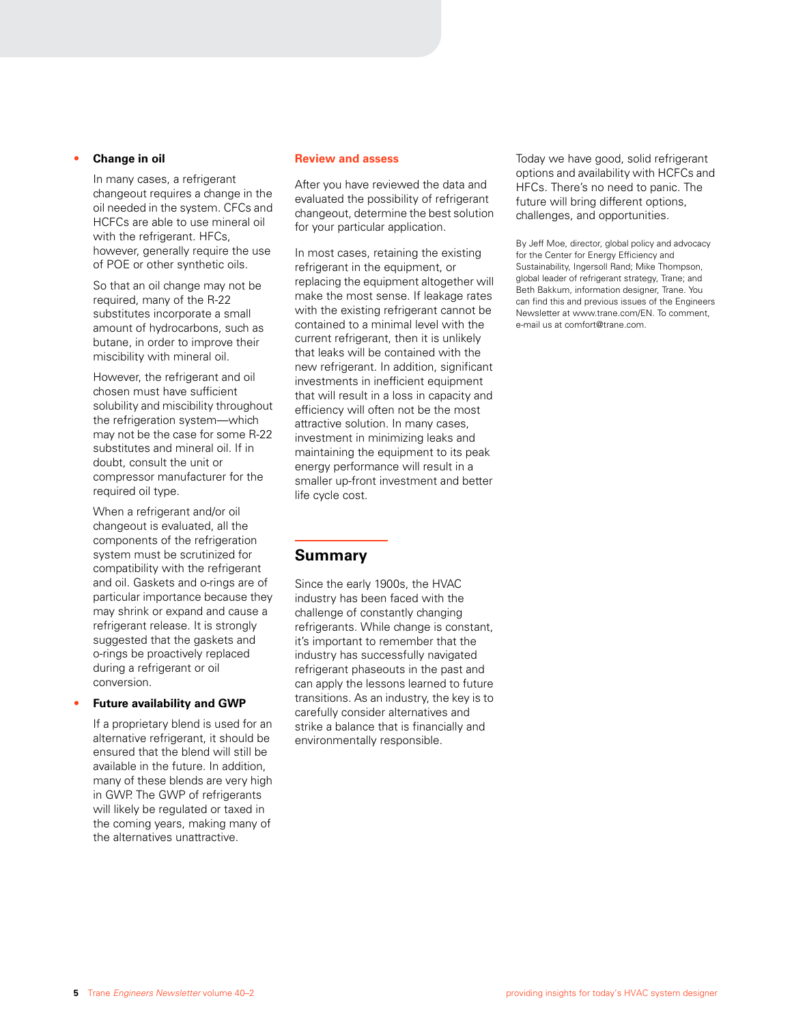#### • **Change in oil**

In many cases, a refrigerant changeout requires a change in the oil needed in the system. CFCs and HCFCs are able to use mineral oil with the refrigerant. HFCs. however, generally require the use of POE or other synthetic oils.

So that an oil change may not be required, many of the R-22 substitutes incorporate a small amount of hydrocarbons, such as butane, in order to improve their miscibility with mineral oil.

However, the refrigerant and oil chosen must have sufficient solubility and miscibility throughout the refrigeration system—which may not be the case for some R-22 substitutes and mineral oil. If in doubt, consult the unit or compressor manufacturer for the required oil type.

When a refrigerant and/or oil changeout is evaluated, all the components of the refrigeration system must be scrutinized for compatibility with the refrigerant and oil. Gaskets and o-rings are of particular importance because they may shrink or expand and cause a refrigerant release. It is strongly suggested that the gaskets and o-rings be proactively replaced during a refrigerant or oil conversion.

#### • **Future availability and GWP**

If a proprietary blend is used for an alternative refrigerant, it should be ensured that the blend will still be available in the future. In addition, many of these blends are very high in GWP. The GWP of refrigerants will likely be regulated or taxed in the coming years, making many of the alternatives unattractive.

#### **Review and assess**

After you have reviewed the data and evaluated the possibility of refrigerant changeout, determine the best solution for your particular application.

In most cases, retaining the existing refrigerant in the equipment, or replacing the equipment altogether will make the most sense. If leakage rates with the existing refrigerant cannot be contained to a minimal level with the current refrigerant, then it is unlikely that leaks will be contained with the new refrigerant. In addition, significant investments in inefficient equipment that will result in a loss in capacity and efficiency will often not be the most attractive solution. In many cases, investment in minimizing leaks and maintaining the equipment to its peak energy performance will result in a smaller up-front investment and better life cycle cost.

#### **Summary**

Since the early 1900s, the HVAC industry has been faced with the challenge of constantly changing refrigerants. While change is constant, it's important to remember that the industry has successfully navigated refrigerant phaseouts in the past and can apply the lessons learned to future transitions. As an industry, the key is to carefully consider alternatives and strike a balance that is financially and environmentally responsible.

Today we have good, solid refrigerant options and availability with HCFCs and HFCs. There's no need to panic. The future will bring different options. challenges, and opportunities.

By Jeff Moe, director, global policy and advocacy for the Center for Energy Efficiency and Sustainability, Ingersoll Rand; Mike Thompson, global leader of refrigerant strategy, Trane; and Beth Bakkum, information designer, Trane. You can find this and previous issues of the Engineers Newsletter at www.trane.com/EN. To comment, e-mail us at comfort@trane.com.